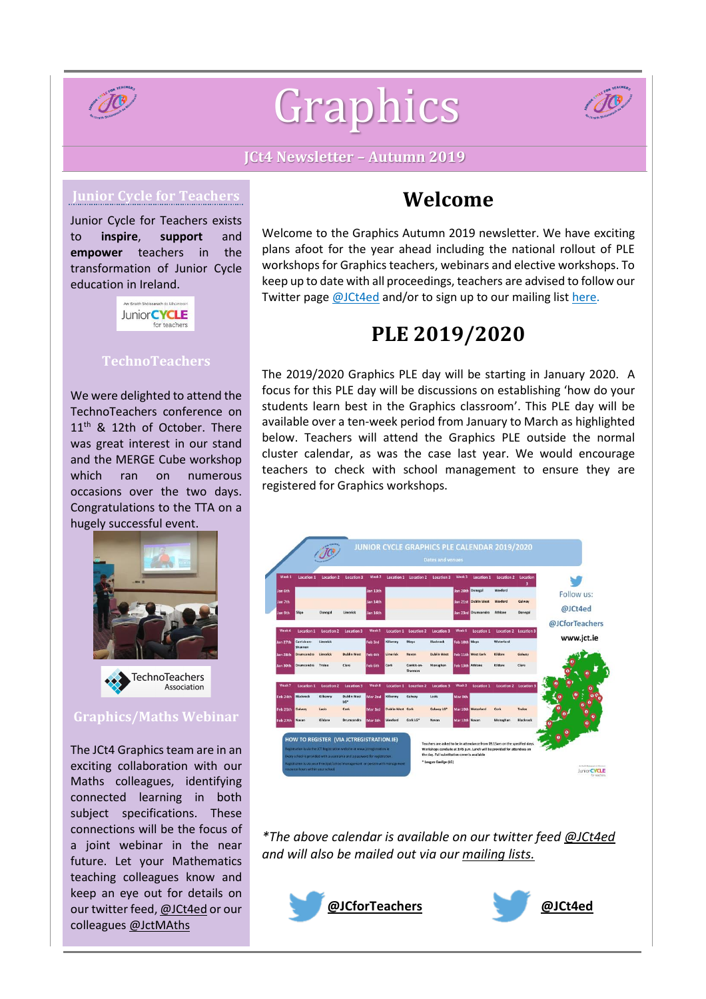

# Graphics



## **JCt4 Newsletter – Autumn 2019**

## **Junior Cycle for Teachers**

Junior Cycle for Teachers exists to **inspire**, **support** and **empower** teachers in the transformation of Junior Cycle education in Ireland.



### **TechnoTeachers**

We were delighted to attend the TechnoTeachers conference on 11<sup>th</sup> & 12th of October. There was great interest in our stand and the MERGE Cube workshop which ran on numerous occasions over the two days. Congratulations to the TTA on a hugely successful event.



#### **Graphics/Maths Webinar**

The JCt4 Graphics team are in an exciting collaboration with our Maths colleagues, identifying connected learning in both subject specifications. These connections will be the focus of a joint webinar in the near future. Let your Mathematics teaching colleagues know and keep an eye out for details on our twitter feed, [@JCt4ed](https://twitter.com/JCt4ed) or our colleagues [@JctMAths](https://twitter.com/JctMaths)

## **Welcome**

Welcome to the Graphics Autumn 2019 newsletter. We have exciting plans afoot for the year ahead including the national rollout of PLE workshops for Graphics teachers, webinars and elective workshops. To keep up to date with all proceedings, teachers are advised to follow our Twitter page [@JCt4ed](https://twitter.com/JCt4ed) and/or to sign up to our mailing list [here.](https://docs.google.com/forms/d/1Qy2bpfqL6a5-k-qMYT_MtP0NL0oxLNUZKlxq1hI_gzY/viewform?edit_requested=true)

# **PLE 2019/2020**

The 2019/2020 Graphics PLE day will be starting in January 2020. A focus for this PLE day will be discussions on establishing 'how do your students learn best in the Graphics classroom'. This PLE day will be available over a ten-week period from January to March as highlighted below. Teachers will attend the Graphics PLE outside the normal cluster calendar, as was the case last year. We would encourage teachers to check with school management to ensure they are registered for Graphics workshops.



*\*The above calendar is available on our twitter feed [@JCt4ed](https://twitter.com/JCt4ed) and will also be mailed out via our [mailing](https://docs.google.com/forms/d/1Qy2bpfqL6a5-k-qMYT_MtP0NL0oxLNUZKlxq1hI_gzY/viewform?edit_requested=true) lists.*